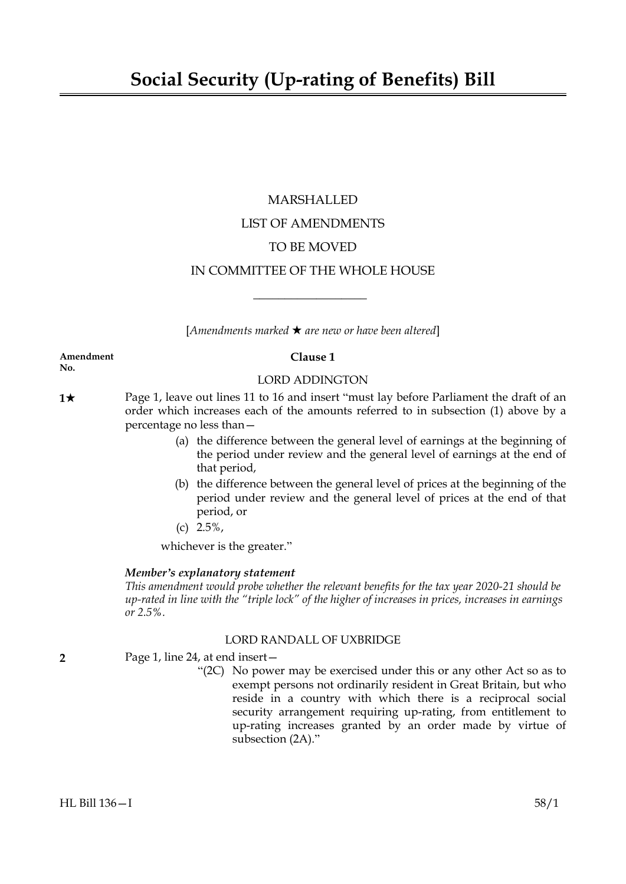# MARSHALLED LIST OF AMENDMENTS TO BE MOVED IN COMMITTEE OF THE WHOLE HOUSE

[*Amendments marked* \* *are new or have been altered*]

 $\overline{\phantom{a}}$  , where  $\overline{\phantom{a}}$ 

**Amendment Clause 1 No.**

#### LORD ADDINGTON

**1★** Page 1, leave out lines 11 to 16 and insert "must lay before Parliament the draft of an order which increases each of the amounts referred to in subsection (1) above by a percentage no less than—

- (a) the difference between the general level of earnings at the beginning of the period under review and the general level of earnings at the end of that period,
- (b) the difference between the general level of prices at the beginning of the period under review and the general level of prices at the end of that period, or
- (c) 2.5%,

whichever is the greater."

# *Member's explanatory statement*

*This amendment would probe whether the relevant benefits for the tax year 2020-21 should be up-rated in line with the "triple lock" of the higher of increases in prices, increases in earnings or 2.5%.*

# LORD RANDALL OF UXBRIDGE

- **2** Page 1, line 24, at end insert—
	- "(2C) No power may be exercised under this or any other Act so as to exempt persons not ordinarily resident in Great Britain, but who reside in a country with which there is a reciprocal social security arrangement requiring up-rating, from entitlement to up-rating increases granted by an order made by virtue of subsection (2A)."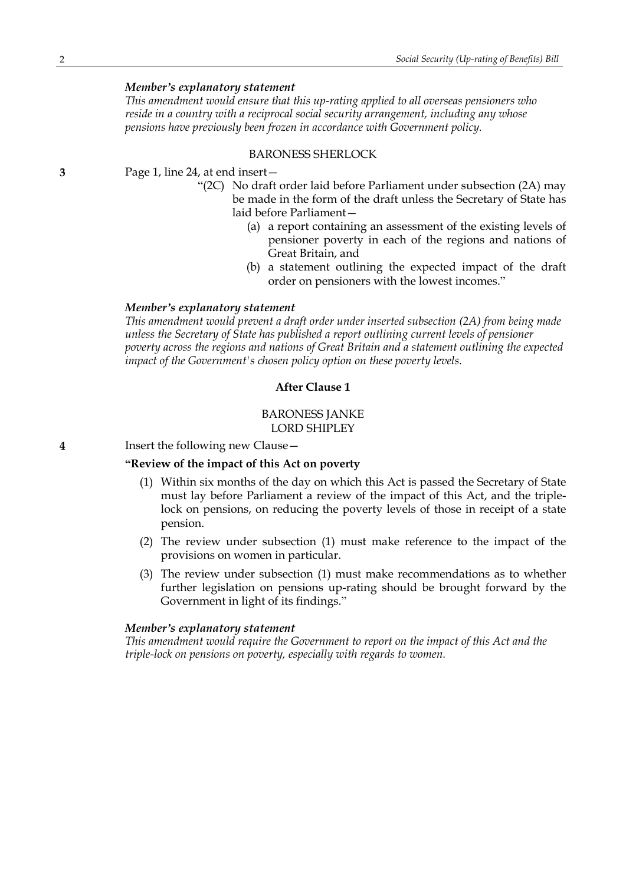# *Member's explanatory statement*

*This amendment would ensure that this up-rating applied to all overseas pensioners who reside in a country with a reciprocal social security arrangement, including any whose pensions have previously been frozen in accordance with Government policy.*

### BARONESS SHERLOCK

**3** Page 1, line 24, at end insert—

- "(2C) No draft order laid before Parliament under subsection (2A) may be made in the form of the draft unless the Secretary of State has laid before Parliament—
	- (a) a report containing an assessment of the existing levels of pensioner poverty in each of the regions and nations of Great Britain, and
	- (b) a statement outlining the expected impact of the draft order on pensioners with the lowest incomes."

#### *Member's explanatory statement*

*This amendment would prevent a draft order under inserted subsection (2A) from being made unless the Secretary of State has published a report outlining current levels of pensioner poverty across the regions and nations of Great Britain and a statement outlining the expected impact of the Government's chosen policy option on these poverty levels.*

## **After Clause 1**

# BARONESS JANKE LORD SHIPLEY

**4** Insert the following new Clause—

### **"Review of the impact of this Act on poverty**

- (1) Within six months of the day on which this Act is passed the Secretary of State must lay before Parliament a review of the impact of this Act, and the triplelock on pensions, on reducing the poverty levels of those in receipt of a state pension.
- (2) The review under subsection (1) must make reference to the impact of the provisions on women in particular.
- (3) The review under subsection (1) must make recommendations as to whether further legislation on pensions up-rating should be brought forward by the Government in light of its findings."

#### *Member's explanatory statement*

*This amendment would require the Government to report on the impact of this Act and the triple-lock on pensions on poverty, especially with regards to women.*